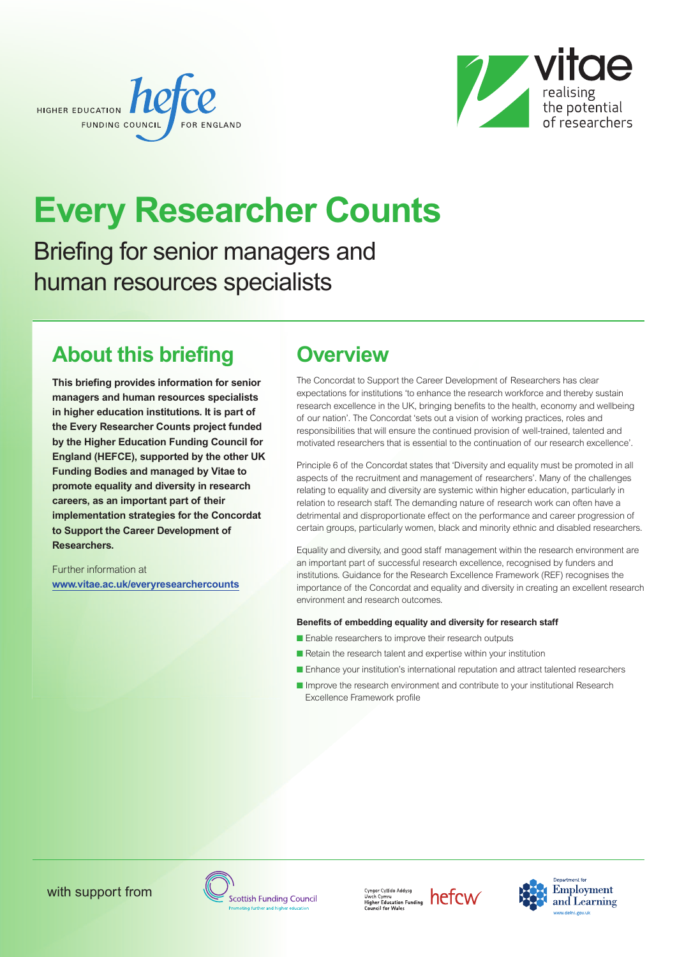



# **Every Researcher Counts**

Briefing for senior managers and human resources specialists

# **About this briefing**

**This briefing provides information for senior managers and human resources specialists in higher education institutions. It is part of the Every Researcher Counts project funded by the Higher Education Funding Council for England (HEFCE), supported by the other UK Funding Bodies and managed by Vitae to promote equality and diversity in research careers, as an important part of their implementation strategies for the Concordat to Support the Career Development of Researchers.**

Further information at **[www.vitae.ac.uk/everyresearchercounts](http://www.vitae.ac.uk/everyresearchercounts)**

# **Overview**

The Concordat to Support the Career Development of Researchers has clear expectations for institutions 'to enhance the research workforce and thereby sustain research excellence in the UK, bringing benefits to the health, economy and wellbeing of our nation'. The Concordat 'sets out a vision of working practices, roles and responsibilities that will ensure the continued provision of well-trained, talented and motivated researchers that is essential to the continuation of our research excellence'.

Principle 6 of the Concordat states that 'Diversity and equality must be promoted in all aspects of the recruitment and management of researchers'. Many of the challenges relating to equality and diversity are systemic within higher education, particularly in relation to research staff. The demanding nature of research work can often have a detrimental and disproportionate effect on the performance and career progression of certain groups, particularly women, black and minority ethnic and disabled researchers.

Equality and diversity, and good staff management within the research environment are an important part of successful research excellence, recognised by funders and institutions. Guidance for the Research Excellence Framework (REF) recognises the importance of the Concordat and equality and diversity in creating an excellent research environment and research outcomes.

#### **Benefits of embedding equality and diversity for research staff**

- Enable researchers to improve their research outputs
- Retain the research talent and expertise within your institution
- Enhance your institution's international reputation and attract talented researchers
- Improve the research environment and contribute to your institutional Research Excellence Framework profile





 $\frac{Cyngor Cyllido Addysg}{Uwch Cymru} \nHigher Education Funding \nToFCW\nCountier Wales$ 

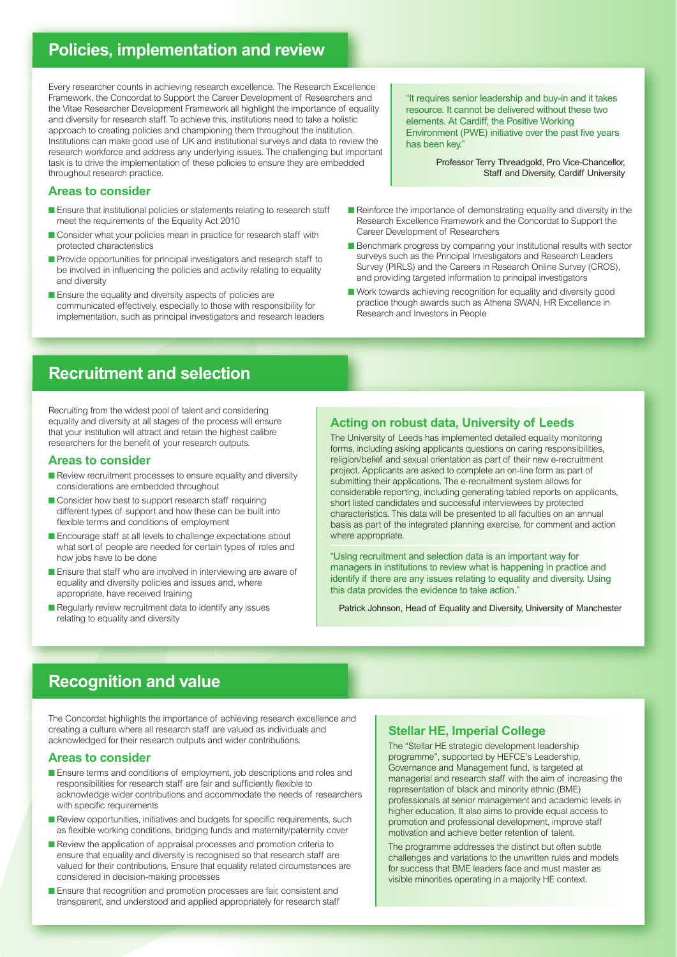### **Policies, implementation and review**

Every researcher counts in achieving research excellence. The Research Excellence Framework, the Concordat to Support the Career Development of Researchers and the Vitae Researcher Development Framework all highlight the importance of equality and diversity for research staff. To achieve this, institutions need to take a holistic approach to creating policies and championing them throughout the institution. Institutions can make good use of UK and institutional surveys and data to review the research workforce and address any underlying issues. The challenging but important task is to drive the implementation of these policies to ensure they are embedded throughout research practice.

#### **Areas to consider**

- Ensure that institutional policies or statements relating to research staff meet the requirements of the Equality Act 2010
- Consider what your policies mean in practice for research staff with protected characteristics
- Provide opportunities for principal investigators and research staff to be involved in influencing the policies and activity relating to equality and diversity
- **■** Ensure the equality and diversity aspects of policies are communicated effectively, especially to those with responsibility for implementation, such as principal investigators and research leaders

"It requires senior leadership and buy-in and it takes resource. It cannot be delivered without these two elements. At Cardiff, the Positive Working Environment (PWE) initiative over the past five years has been key."

> Professor Terry Threadgold, Pro Vice-Chancellor, Staff and Diversity, Cardiff University

- Reinforce the importance of demonstrating equality and diversity in the Research Excellence Framework and the Concordat to Support the Career Development of Researchers
- Benchmark progress by comparing your institutional results with sector surveys such as the Principal Investigators and Research Leaders Survey (PIRLS) and the Careers in Research Online Survey (CROS), and providing targeted information to principal investigators
- Work towards achieving recognition for equality and diversity good practice though awards such as Athena SWAN, HR Excellence in Research and Investors in People

### **Recruitment and selection**

Recruiting from the widest pool of talent and considering equality and diversity at all stages of the process will ensure that your institution will attract and retain the highest calibre researchers for the benefit of your research outputs.

#### **Areas to consider**

- Review recruitment processes to ensure equality and diversity considerations are embedded throughout
- Consider how best to support research staff requiring different types of support and how these can be built into flexible terms and conditions of employment
- Encourage staff at all levels to challenge expectations about what sort of people are needed for certain types of roles and how jobs have to be done
- Ensure that staff who are involved in interviewing are aware of equality and diversity policies and issues and, where appropriate, have received training
- Regularly review recruitment data to identify any issues relating to equality and diversity

#### **Acting on robust data, University of Leeds**

The University of Leeds has implemented detailed equality monitoring forms, including asking applicants questions on caring responsibilities, religion/belief and sexual orientation as part of their new e-recruitment project. Applicants are asked to complete an on-line form as part of submitting their applications. The e-recruitment system allows for considerable reporting, including generating tabled reports on applicants, short listed candidates and successful interviewees by protected characteristics. This data will be presented to all faculties on an annual basis as part of the integrated planning exercise, for comment and action where appropriate.

"Using recruitment and selection data is an important way for managers in institutions to review what is happening in practice and identify if there are any issues relating to equality and diversity. Using this data provides the evidence to take action."

Patrick Johnson, Head of Equality and Diversity, University of Manchester

### **Recognition and value**

The Concordat highlights the importance of achieving research excellence and creating a culture where all research staff are valued as individuals and acknowledged for their research outputs and wider contributions.

#### **Areas to consider**

- Ensure terms and conditions of employment, job descriptions and roles and responsibilities for research staff are fair and sufficiently flexible to acknowledge wider contributions and accommodate the needs of researchers with specific requirements
- Review opportunities, initiatives and budgets for specific requirements, such as flexible working conditions, bridging funds and maternity/paternity cover
- Review the application of appraisal processes and promotion criteria to ensure that equality and diversity is recognised so that research staff are valued for their contributions. Ensure that equality related circumstances are considered in decision-making processes
- Ensure that recognition and promotion processes are fair, consistent and transparent, and understood and applied appropriately for research staff

#### **Stellar HE, Imperial College**

The "Stellar HE strategic development leadership programme", supported by HEFCE's Leadership, Governance and Management fund, is targeted at managerial and research staff with the aim of increasing the representation of black and minority ethnic (BME) professionals at senior management and academic levels in higher education. It also aims to provide equal access to promotion and professional development, improve staff motivation and achieve better retention of talent.

The programme addresses the distinct but often subtle challenges and variations to the unwritten rules and models for success that BME leaders face and must master as visible minorities operating in a majority HE context.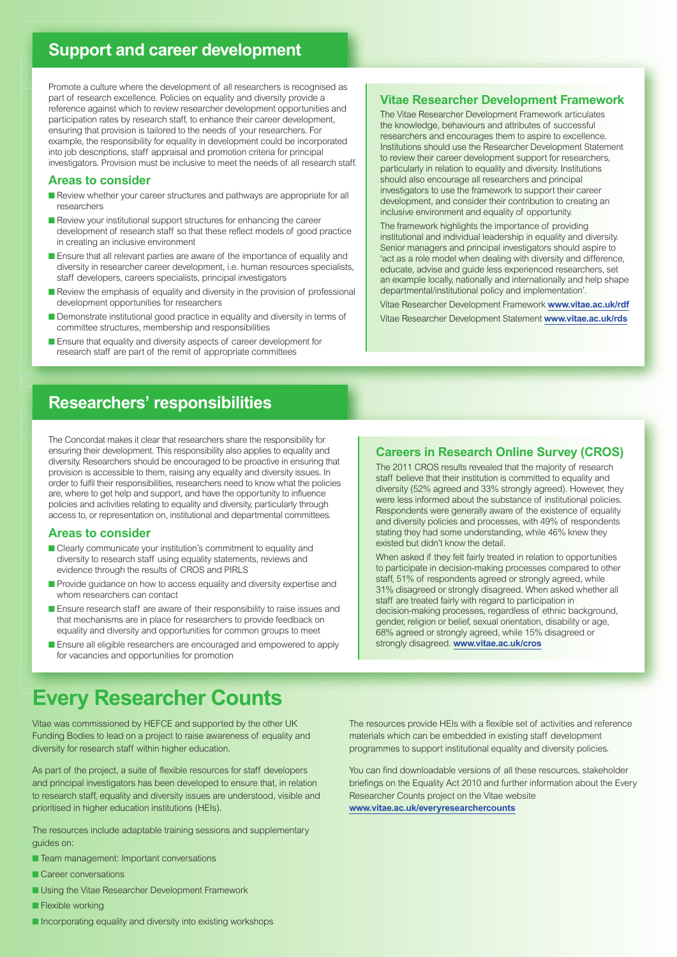### **Support and career development**

Promote a culture where the development of all researchers is recognised as part of research excellence. Policies on equality and diversity provide a reference against which to review researcher development opportunities and participation rates by research staff, to enhance their career development, ensuring that provision is tailored to the needs of your researchers. For example, the responsibility for equality in development could be incorporated into job descriptions, staff appraisal and promotion criteria for principal investigators. Provision must be inclusive to meet the needs of all research staff.

#### **Areas to consider**

- Review whether your career structures and pathways are appropriate for all researchers
- Review your institutional support structures for enhancing the career development of research staff so that these reflect models of good practice in creating an inclusive environment
- Ensure that all relevant parties are aware of the importance of equality and diversity in researcher career development, i.e. human resources specialists, staff developers, careers specialists, principal investigators
- Review the emphasis of equality and diversity in the provision of professional development opportunities for researchers
- Demonstrate institutional good practice in equality and diversity in terms of committee structures, membership and responsibilities
- Ensure that equality and diversity aspects of career development for research staff are part of the remit of appropriate committees

#### **Vitae Researcher Development Framework**

The Vitae Researcher Development Framework articulates the knowledge, behaviours and attributes of successful researchers and encourages them to aspire to excellence. Institutions should use the Researcher Development Statement to review their career development support for researchers, particularly in relation to equality and diversity. Institutions should also encourage all researchers and principal investigators to use the framework to support their career development, and consider their contribution to creating an inclusive environment and equality of opportunity.

The framework highlights the importance of providing institutional and individual leadership in equality and diversity. Senior managers and principal investigators should aspire to 'act as a role model when dealing with diversity and difference, educate, advise and guide less experienced researchers, set an example locally, nationally and internationally and help shape departmental/institutional policy and implementation'.

Vitae Researcher Development Framework **[www.vitae.ac.uk/rdf](http://www.vitae.ac.uk/rdf)** Vitae Researcher Development Statement **[www.vitae.ac.uk/rds](http://www.vitae.ac.uk/rds)**

### **Researchers' responsibilities**

The Concordat makes it clear that researchers share the responsibility for ensuring their development. This responsibility also applies to equality and diversity. Researchers should be encouraged to be proactive in ensuring that provision is accessible to them, raising any equality and diversity issues. In order to fulfil their responsibilities, researchers need to know what the policies are, where to get help and support, and have the opportunity to influence policies and activities relating to equality and diversity, particularly through access to, or representation on, institutional and departmental committees.

#### **Areas to consider**

- Clearly communicate your institution's commitment to equality and diversity to research staff using equality statements, reviews and evidence through the results of CROS and PIRLS
- Provide quidance on how to access equality and diversity expertise and whom researchers can contact
- Ensure research staff are aware of their responsibility to raise issues and that mechanisms are in place for researchers to provide feedback on equality and diversity and opportunities for common groups to meet
- Ensure all eligible researchers are encouraged and empowered to apply for vacancies and opportunities for promotion

#### **Careers in Research Online Survey (CROS)**

The 2011 CROS results revealed that the majority of research staff believe that their institution is committed to equality and diversity (52% agreed and 33% strongly agreed). However, they were less informed about the substance of institutional policies. Respondents were generally aware of the existence of equality and diversity policies and processes, with 49% of respondents stating they had some understanding, while 46% knew they existed but didn't know the detail.

When asked if they felt fairly treated in relation to opportunities to participate in decision-making processes compared to other staff, 51% of respondents agreed or strongly agreed, while 31% disagreed or strongly disagreed. When asked whether all staff are treated fairly with regard to participation in decision-making processes, regardless of ethnic background, gender, religion or belief, sexual orientation, disability or age, 68% agreed or strongly agreed, while 15% disagreed or strongly disagreed. **[www.vitae.ac.uk/cros](http://www.vitae.ac.uk/cros)**

## **Every Researcher Counts**

Vitae was commissioned by HEFCE and supported by the other UK Funding Bodies to lead on a project to raise awareness of equality and diversity for research staff within higher education.

As part of the project, a suite of flexible resources for staff developers and principal investigators has been developed to ensure that, in relation to research staff, equality and diversity issues are understood, visible and prioritised in higher education institutions (HEIs).

The resources include adaptable training sessions and supplementary guides on:

- Team management: Important conversations
- Career conversations
- **■** Using the Vitae Researcher Development Framework
- **■** Flexible working
- Incorporating equality and diversity into existing workshops

The resources provide HEIs with a flexible set of activities and reference materials which can be embedded in existing staff development programmes to support institutional equality and diversity policies.

You can find downloadable versions of all these resources, stakeholder briefings on the Equality Act 2010 and further information about the Every Researcher Counts project on the Vitae website **[www.vitae.ac.uk/everyresearchercounts](http://www.vitae.ac.uk/everyresearchercounts)**